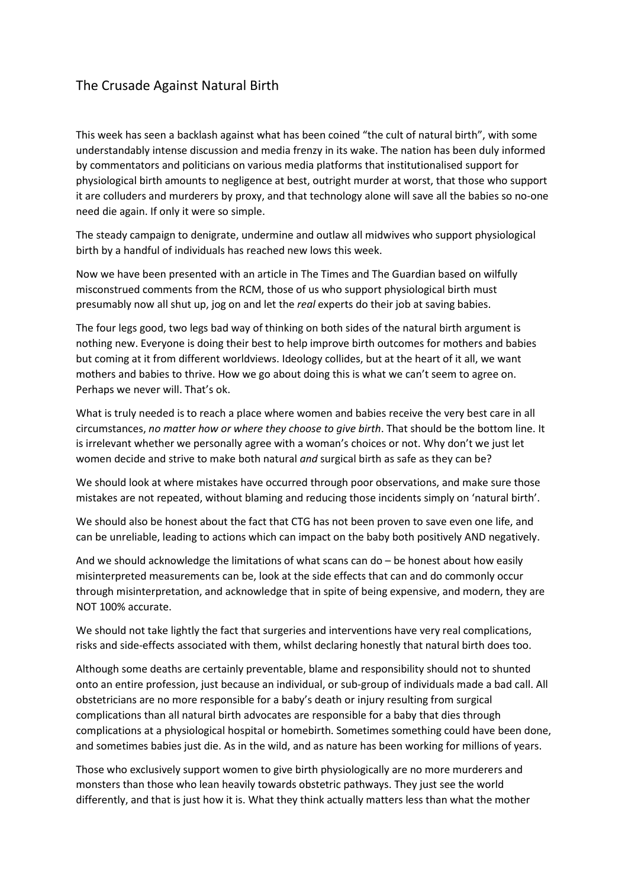## The Crusade Against Natural Birth

This week has seen a backlash against what has been coined "the cult of natural birth", with some understandably intense discussion and media frenzy in its wake. The nation has been duly informed by commentators and politicians on various media platforms that institutionalised support for physiological birth amounts to negligence at best, outright murder at worst, that those who support it are colluders and murderers by proxy, and that technology alone will save all the babies so no-one need die again. If only it were so simple.

The steady campaign to denigrate, undermine and outlaw all midwives who support physiological birth by a handful of individuals has reached new lows this week.

Now we have been presented with an article in The Times and The Guardian based on wilfully misconstrued comments from the RCM, those of us who support physiological birth must presumably now all shut up, jog on and let the *real* experts do their job at saving babies.

The four legs good, two legs bad way of thinking on both sides of the natural birth argument is nothing new. Everyone is doing their best to help improve birth outcomes for mothers and babies but coming at it from different worldviews. Ideology collides, but at the heart of it all, we want mothers and babies to thrive. How we go about doing this is what we can't seem to agree on. Perhaps we never will. That's ok.

What is truly needed is to reach a place where women and babies receive the very best care in all circumstances, *no matter how or where they choose to give birth*. That should be the bottom line. It is irrelevant whether we personally agree with a woman's choices or not. Why don't we just let women decide and strive to make both natural *and* surgical birth as safe as they can be?

We should look at where mistakes have occurred through poor observations, and make sure those mistakes are not repeated, without blaming and reducing those incidents simply on 'natural birth'.

We should also be honest about the fact that CTG has not been proven to save even one life, and can be unreliable, leading to actions which can impact on the baby both positively AND negatively.

And we should acknowledge the limitations of what scans can  $do - be$  honest about how easily misinterpreted measurements can be, look at the side effects that can and do commonly occur through misinterpretation, and acknowledge that in spite of being expensive, and modern, they are NOT 100% accurate.

We should not take lightly the fact that surgeries and interventions have very real complications, risks and side-effects associated with them, whilst declaring honestly that natural birth does too.

Although some deaths are certainly preventable, blame and responsibility should not to shunted onto an entire profession, just because an individual, or sub-group of individuals made a bad call. All obstetricians are no more responsible for a baby's death or injury resulting from surgical complications than all natural birth advocates are responsible for a baby that dies through complications at a physiological hospital or homebirth. Sometimes something could have been done, and sometimes babies just die. As in the wild, and as nature has been working for millions of years.

Those who exclusively support women to give birth physiologically are no more murderers and monsters than those who lean heavily towards obstetric pathways. They just see the world differently, and that is just how it is. What they think actually matters less than what the mother